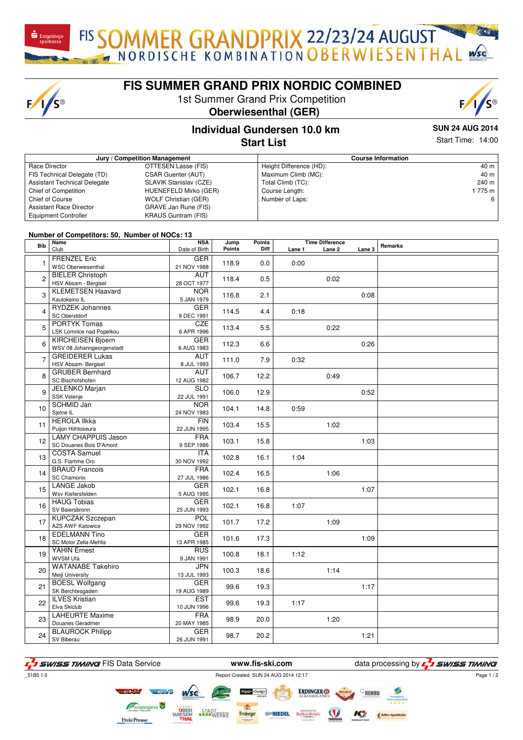$F/I/S^{\circledcirc}$ 

# **FIS SUMMER GRAND PRIX NORDIC COMBINED**

FIS SOMMER GRANDPRIX 22/23/24 AUGUST

1st Summer Grand Prix Competition





### **Individual Gundersen 10.0 km Start List**

**SUN 24 AUG 2014** Start Time: 14:00

| Jury / Competition Management       |                             |                         | <b>Course Information</b> |  |  |  |
|-------------------------------------|-----------------------------|-------------------------|---------------------------|--|--|--|
| Race Director                       | OTTESEN Lasse (FIS)         | Height Difference (HD): | 40 m                      |  |  |  |
| FIS Technical Delegate (TD)         | <b>CSAR Guenter (AUT)</b>   | Maximum Climb (MC):     | 40 m                      |  |  |  |
| <b>Assistant Technical Delegate</b> | SLAVIK Stanislav (CZE)      | Total Climb (TC):       | 240 m                     |  |  |  |
| Chief of Competition                | HUENEFELD Mirko (GER)       | Course Length:          | 1775 m                    |  |  |  |
| <b>Chief of Course</b>              | <b>WOLF Christian (GER)</b> | Number of Laps:         | 6                         |  |  |  |
| <b>Assistant Race Director</b>      | GRAVE Jan Rune (FIS)        |                         |                           |  |  |  |
| <b>Equipment Controller</b>         | <b>KRAUS Guntram (FIS)</b>  |                         |                           |  |  |  |

#### **Number of Competitors: 50, Number of NOCs: 13**

| <b>Bib</b>              | Name<br>Club               | <b>NSA</b><br>Date of Birth | Jump<br>Points | Points<br>Diff | Lane 1 | <b>Time Difference</b><br>Lane 2 | Lane 3 | Remarks |
|-------------------------|----------------------------|-----------------------------|----------------|----------------|--------|----------------------------------|--------|---------|
|                         |                            |                             |                |                |        |                                  |        |         |
| 1                       | <b>FRENZEL Eric</b>        | <b>GER</b>                  | 118.9          | 0.0            | 0:00   |                                  |        |         |
|                         | <b>WSC Oberwiesenthal</b>  | 21 NOV 1988                 |                |                |        |                                  |        |         |
| $\overline{2}$          | <b>BIELER Christoph</b>    | <b>AUT</b>                  | 118.4          | 0.5            |        | 0:02                             |        |         |
|                         | HSV Absam - Bergisel       | 28 OCT 1977                 |                |                |        |                                  |        |         |
| 3                       | <b>KLEMETSEN Haavard</b>   | <b>NOR</b>                  | 116.8          | 2.1            |        |                                  | 0:08   |         |
|                         | Kautokeino IL              | 5 JAN 1979                  |                |                |        |                                  |        |         |
| $\overline{\mathbf{A}}$ | <b>RYDZEK Johannes</b>     | <b>GER</b>                  | 114.5          | 4.4            | 0:18   |                                  |        |         |
|                         | SC Oberstdorf              | 9 DEC 1991                  |                |                |        |                                  |        |         |
| 5                       | <b>PORTYK Tomas</b>        | <b>CZE</b>                  | 113.4          | 5.5            |        | 0:22                             |        |         |
|                         | LSK Lomnice nad Popelkou   | 6 APR 1996                  |                |                |        |                                  |        |         |
|                         | <b>KIRCHEISEN Bjoern</b>   | <b>GER</b>                  |                | 6.6            |        |                                  | 0:26   |         |
| 6                       | WSV 08 Johanngeorgenstadt  | 6 AUG 1983                  | 112.3          |                |        |                                  |        |         |
| $\overline{7}$          | <b>GREIDERER Lukas</b>     | <b>AUT</b>                  | 111.0          | 7.9            | 0:32   |                                  |        |         |
|                         | HSV Absam-Bergisel         | 8 JUL 1993                  |                |                |        |                                  |        |         |
|                         | <b>GRUBER Bernhard</b>     | <b>AUT</b>                  |                |                |        |                                  |        |         |
| 8                       | SC Bischofshofen           | 12 AUG 1982                 | 106.7          | 12.2           |        | 0:49                             |        |         |
|                         | <b>JELENKO Marjan</b>      | <b>SLO</b>                  |                |                |        |                                  |        |         |
| 9                       | SSK Velenje                | 22 JUL 1991                 | 106.0          | 12.9           |        |                                  | 0:52   |         |
| 10                      | <b>SCHMID Jan</b>          | <b>NOR</b>                  |                |                |        |                                  |        |         |
|                         | Sjetne IL                  | 24 NOV 1983                 | 104.1          | 14.8           | 0:59   |                                  |        |         |
| 11                      | <b>HEROLA IIkka</b>        | <b>FIN</b>                  | 103.4          | 15.5           |        |                                  |        |         |
|                         | Puijon Hiihtoseura         | 22 JUN 1995                 |                |                |        | 1:02                             |        |         |
| 12                      | <b>LAMY CHAPPUIS Jason</b> | <b>FRA</b>                  | 103.1          | 15.8           |        |                                  | 1:03   |         |
|                         | SC Douanes Bois D'Amont    | 9 SEP 1986                  |                |                |        |                                  |        |         |
|                         | <b>COSTA Samuel</b>        | <b>ITA</b>                  |                | 16.1           |        |                                  |        |         |
| 13                      | G.S. Fiamme Oro            | 30 NOV 1992                 | 102.8          |                | 1:04   |                                  |        |         |
|                         | <b>BRAUD Francois</b>      | <b>FRA</b>                  | 102.4          | 16.5           |        | 1:06                             |        |         |
| 14                      | <b>SC Chamonix</b>         | 27 JUL 1986                 |                |                |        |                                  |        |         |
| 15                      | <b>LANGE Jakob</b>         | <b>GER</b>                  | 102.1          |                |        |                                  | 1:07   |         |
|                         | Wsv Kiefersfelden          | 5 AUG 1995                  |                | 16.8           |        |                                  |        |         |
| 16                      | <b>HAUG Tobias</b>         | <b>GER</b>                  | 102.1          | 16.8           | 1:07   |                                  |        |         |
|                         | SV Baiersbronn             | 25 JUN 1993                 |                |                |        |                                  |        |         |
| 17                      | <b>KUPCZAK Szczepan</b>    | POL                         | 101.7          | 17.2           |        | 1:09                             |        |         |
|                         | AZS AWF Katowice           | 29 NOV 1992                 |                |                |        |                                  |        |         |
| 18                      | <b>EDELMANN Tino</b>       | <b>GER</b>                  | 101.6          | 17.3           |        |                                  | 1:09   |         |
|                         | SC Motor Zella-Mehlis      | 13 APR 1985                 |                |                |        |                                  |        |         |
|                         | <b>YAHIN Ernest</b>        | <b>RUS</b>                  | 100.8          | 18.1           | 1:12   |                                  |        |         |
| 19                      | WVSM Ufa                   | 9 JAN 1991                  |                |                |        |                                  |        |         |
|                         | <b>WATANABE Takehiro</b>   | <b>JPN</b>                  |                |                |        |                                  |        |         |
| 20                      | Meiji University           | 13 JUL 1993                 | 100.3          | 18.6           |        | 1:14                             |        |         |
| 21                      | <b>BOESL Wolfgang</b>      | <b>GER</b>                  | 99.6           | 19.3           |        |                                  | 1:17   |         |
|                         | SK Berchtesgaden           | 19 AUG 1989                 |                |                |        |                                  |        |         |
| 22                      | <b>ILVES Kristian</b>      | <b>EST</b>                  | 99.6           | 19.3           | 1:17   |                                  |        |         |
|                         | Elva Skiclub               | 10 JUN 1996                 |                |                |        |                                  |        |         |
| 23                      | <b>LAHEURTE Maxime</b>     | <b>FRA</b>                  | 98.9           | 20.0           |        | 1:20                             |        |         |
|                         | Douanes Geradmer           | 20 MAY 1985                 |                |                |        |                                  |        |         |
| 24                      | <b>BLAUROCK Philipp</b>    | <b>GER</b>                  | 98.7           | 20.2           |        |                                  | 1:21   |         |
|                         | SV Biberau                 | 26 JUN 1991                 |                |                |        |                                  |        |         |

**F** I SWISS TIMING FIS Data Service **WWW.fis-ski.com** data processing by **F** I SWISS TIMING

\_51B5 1.0 Report Created SUN 24 AUG 2014 12:17

*Ro*RIEDEL

Freiberger

**ERDINGER** 

Page 1 / 2

STADT<br>WERKE

**FreiePresse**